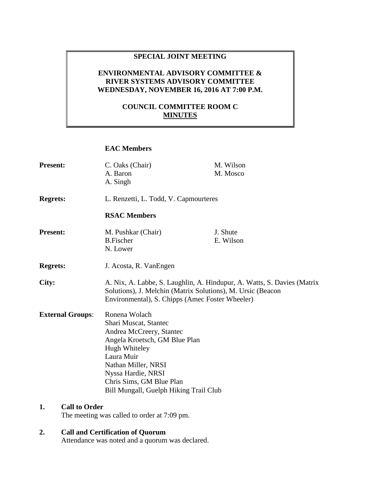### **SPECIAL JOINT MEETING**

## **ENVIRONMENTAL ADVISORY COMMITTEE & RIVER SYSTEMS ADVISORY COMMITTEE WEDNESDAY, NOVEMBER 16, 2016 AT 7:00 P.M.**

## **COUNCIL COMMITTEE ROOM C MINUTES**

#### **EAC Members**

| <b>Present:</b>         | C. Oaks (Chair)<br>A. Baron<br>A. Singh                                                                                                                                                                                                               | M. Wilson<br>M. Mosco |
|-------------------------|-------------------------------------------------------------------------------------------------------------------------------------------------------------------------------------------------------------------------------------------------------|-----------------------|
| <b>Regrets:</b>         | L. Renzetti, L. Todd, V. Capmourteres                                                                                                                                                                                                                 |                       |
|                         | <b>RSAC Members</b>                                                                                                                                                                                                                                   |                       |
| <b>Present:</b>         | M. Pushkar (Chair)<br><b>B.Fischer</b><br>N. Lower                                                                                                                                                                                                    | J. Shute<br>E. Wilson |
| <b>Regrets:</b>         | J. Acosta, R. VanEngen                                                                                                                                                                                                                                |                       |
| City:                   | A. Nix, A. Labbe, S. Laughlin, A. Hindupur, A. Watts, S. Davies (Matrix<br>Solutions), J. Melchin (Matrix Solutions), M. Ursic (Beacon<br>Environmental), S. Chipps (Amec Foster Wheeler)                                                             |                       |
| <b>External Groups:</b> | Ronena Wolach<br>Shari Muscat, Stantec<br>Andrea McCreery, Stantec<br>Angela Kroetsch, GM Blue Plan<br>Hugh Whiteley<br>Laura Muir<br>Nathan Miller, NRSI<br>Nyssa Hardie, NRSI<br>Chris Sims, GM Blue Plan<br>Bill Mungall, Guelph Hiking Trail Club |                       |

## **1. Call to Order**

The meeting was called to order at 7:09 pm.

# **2. Call and Certification of Quorum**

Attendance was noted and a quorum was declared.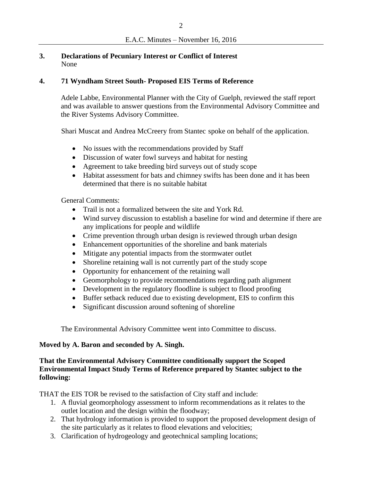## **3. Declarations of Pecuniary Interest or Conflict of Interest** None

## **4. 71 Wyndham Street South- Proposed EIS Terms of Reference**

Adele Labbe, Environmental Planner with the City of Guelph, reviewed the staff report and was available to answer questions from the Environmental Advisory Committee and the River Systems Advisory Committee.

Shari Muscat and Andrea McCreery from Stantec spoke on behalf of the application.

- No issues with the recommendations provided by Staff
- Discussion of water fowl surveys and habitat for nesting
- Agreement to take breeding bird surveys out of study scope
- Habitat assessment for bats and chimney swifts has been done and it has been determined that there is no suitable habitat

General Comments:

- Trail is not a formalized between the site and York Rd.
- Wind survey discussion to establish a baseline for wind and determine if there are any implications for people and wildlife
- Crime prevention through urban design is reviewed through urban design
- Enhancement opportunities of the shoreline and bank materials
- Mitigate any potential impacts from the stormwater outlet
- Shoreline retaining wall is not currently part of the study scope
- Opportunity for enhancement of the retaining wall
- Geomorphology to provide recommendations regarding path alignment
- Development in the regulatory floodline is subject to flood proofing
- Buffer setback reduced due to existing development, EIS to confirm this
- Significant discussion around softening of shoreline

The Environmental Advisory Committee went into Committee to discuss.

## **Moved by A. Baron and seconded by A. Singh.**

## **That the Environmental Advisory Committee conditionally support the Scoped Environmental Impact Study Terms of Reference prepared by Stantec subject to the following:**

THAT the EIS TOR be revised to the satisfaction of City staff and include:

- 1. A fluvial geomorphology assessment to inform recommendations as it relates to the outlet location and the design within the floodway;
- 2. That hydrology information is provided to support the proposed development design of the site particularly as it relates to flood elevations and velocities;
- 3. Clarification of hydrogeology and geotechnical sampling locations;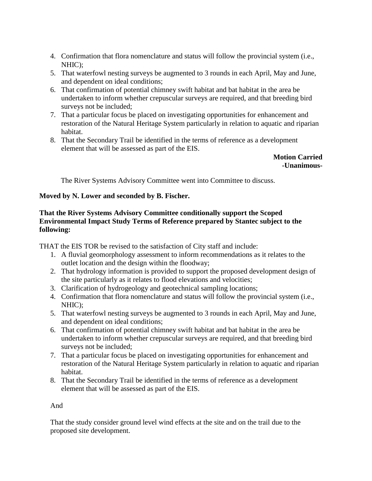- 4. Confirmation that flora nomenclature and status will follow the provincial system (i.e., NHIC);
- 5. That waterfowl nesting surveys be augmented to 3 rounds in each April, May and June, and dependent on ideal conditions;
- 6. That confirmation of potential chimney swift habitat and bat habitat in the area be undertaken to inform whether crepuscular surveys are required, and that breeding bird surveys not be included;
- 7. That a particular focus be placed on investigating opportunities for enhancement and restoration of the Natural Heritage System particularly in relation to aquatic and riparian habitat.
- 8. That the Secondary Trail be identified in the terms of reference as a development element that will be assessed as part of the EIS.

**Motion Carried -Unanimous-**

The River Systems Advisory Committee went into Committee to discuss.

### **Moved by N. Lower and seconded by B. Fischer.**

## **That the River Systems Advisory Committee conditionally support the Scoped Environmental Impact Study Terms of Reference prepared by Stantec subject to the following:**

THAT the EIS TOR be revised to the satisfaction of City staff and include:

- 1. A fluvial geomorphology assessment to inform recommendations as it relates to the outlet location and the design within the floodway;
- 2. That hydrology information is provided to support the proposed development design of the site particularly as it relates to flood elevations and velocities;
- 3. Clarification of hydrogeology and geotechnical sampling locations;
- 4. Confirmation that flora nomenclature and status will follow the provincial system (i.e., NHIC);
- 5. That waterfowl nesting surveys be augmented to 3 rounds in each April, May and June, and dependent on ideal conditions;
- 6. That confirmation of potential chimney swift habitat and bat habitat in the area be undertaken to inform whether crepuscular surveys are required, and that breeding bird surveys not be included;
- 7. That a particular focus be placed on investigating opportunities for enhancement and restoration of the Natural Heritage System particularly in relation to aquatic and riparian habitat.
- 8. That the Secondary Trail be identified in the terms of reference as a development element that will be assessed as part of the EIS.

#### And

That the study consider ground level wind effects at the site and on the trail due to the proposed site development.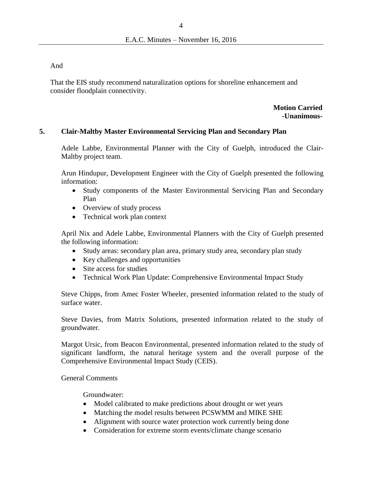And

That the EIS study recommend naturalization options for shoreline enhancement and consider floodplain connectivity.

> **Motion Carried -Unanimous-**

#### **5. Clair-Maltby Master Environmental Servicing Plan and Secondary Plan**

Adele Labbe, Environmental Planner with the City of Guelph, introduced the Clair-Maltby project team.

Arun Hindupur, Development Engineer with the City of Guelph presented the following information:

- Study components of the Master Environmental Servicing Plan and Secondary Plan
- Overview of study process
- Technical work plan context

April Nix and Adele Labbe, Environmental Planners with the City of Guelph presented the following information:

- Study areas: secondary plan area, primary study area, secondary plan study
- Key challenges and opportunities
- Site access for studies
- Technical Work Plan Update: Comprehensive Environmental Impact Study

Steve Chipps, from Amec Foster Wheeler, presented information related to the study of surface water.

Steve Davies, from Matrix Solutions, presented information related to the study of groundwater.

Margot Ursic, from Beacon Environmental, presented information related to the study of significant landform, the natural heritage system and the overall purpose of the Comprehensive Environmental Impact Study (CEIS).

General Comments

Groundwater:

- Model calibrated to make predictions about drought or wet years
- Matching the model results between PCSWMM and MIKE SHE
- Alignment with source water protection work currently being done
- Consideration for extreme storm events/climate change scenario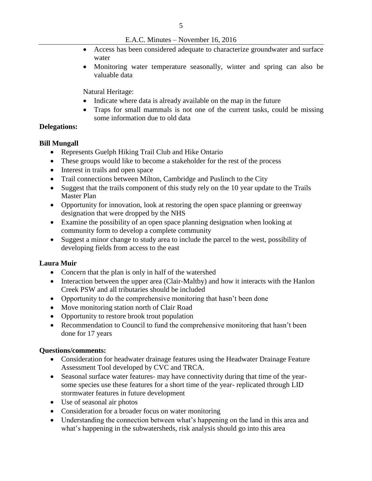E.A.C. Minutes – November 16, 2016

- Access has been considered adequate to characterize groundwater and surface water
- Monitoring water temperature seasonally, winter and spring can also be valuable data

Natural Heritage:

- Indicate where data is already available on the map in the future
- Traps for small mammals is not one of the current tasks, could be missing some information due to old data

#### **Delegations:**

#### **Bill Mungall**

- Represents Guelph Hiking Trail Club and Hike Ontario
- These groups would like to become a stakeholder for the rest of the process
- Interest in trails and open space
- Trail connections between Milton, Cambridge and Puslinch to the City
- Suggest that the trails component of this study rely on the 10 year update to the Trails Master Plan
- Opportunity for innovation, look at restoring the open space planning or greenway designation that were dropped by the NHS
- Examine the possibility of an open space planning designation when looking at community form to develop a complete community
- Suggest a minor change to study area to include the parcel to the west, possibility of developing fields from access to the east

#### **Laura Muir**

- Concern that the plan is only in half of the watershed
- Interaction between the upper area (Clair-Maltby) and how it interacts with the Hanlon Creek PSW and all tributaries should be included
- Opportunity to do the comprehensive monitoring that hasn't been done
- Move monitoring station north of Clair Road
- Opportunity to restore brook trout population
- Recommendation to Council to fund the comprehensive monitoring that hasn't been done for 17 years

#### **Questions/comments:**

- Consideration for headwater drainage features using the Headwater Drainage Feature Assessment Tool developed by CVC and TRCA.
- Seasonal surface water features- may have connectivity during that time of the yearsome species use these features for a short time of the year- replicated through LID stormwater features in future development
- Use of seasonal air photos
- Consideration for a broader focus on water monitoring
- Understanding the connection between what's happening on the land in this area and what's happening in the subwatersheds, risk analysis should go into this area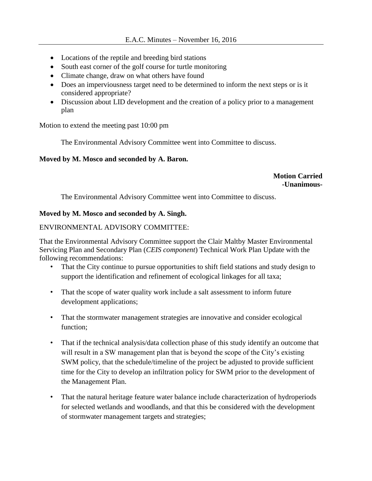- Locations of the reptile and breeding bird stations
- South east corner of the golf course for turtle monitoring
- Climate change, draw on what others have found
- Does an imperviousness target need to be determined to inform the next steps or is it considered appropriate?
- Discussion about LID development and the creation of a policy prior to a management plan

Motion to extend the meeting past 10:00 pm

The Environmental Advisory Committee went into Committee to discuss.

### **Moved by M. Mosco and seconded by A. Baron.**

**Motion Carried -Unanimous-**

The Environmental Advisory Committee went into Committee to discuss.

# **Moved by M. Mosco and seconded by A. Singh.**

## ENVIRONMENTAL ADVISORY COMMITTEE:

That the Environmental Advisory Committee support the Clair Maltby Master Environmental Servicing Plan and Secondary Plan (*CEIS component*) Technical Work Plan Update with the following recommendations:

- That the City continue to pursue opportunities to shift field stations and study design to support the identification and refinement of ecological linkages for all taxa;
- That the scope of water quality work include a salt assessment to inform future development applications;
- That the stormwater management strategies are innovative and consider ecological function;
- That if the technical analysis/data collection phase of this study identify an outcome that will result in a SW management plan that is beyond the scope of the City's existing SWM policy, that the schedule/timeline of the project be adjusted to provide sufficient time for the City to develop an infiltration policy for SWM prior to the development of the Management Plan.
- That the natural heritage feature water balance include characterization of hydroperiods for selected wetlands and woodlands, and that this be considered with the development of stormwater management targets and strategies;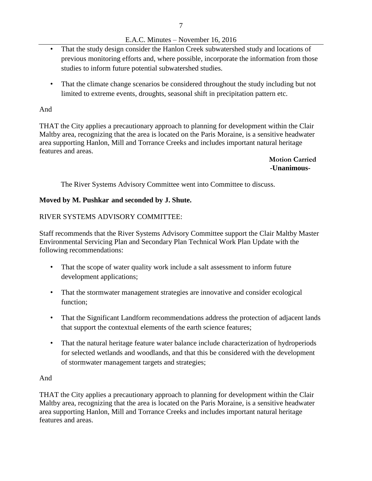# E.A.C. Minutes – November 16, 2016

- That the study design consider the Hanlon Creek subwatershed study and locations of previous monitoring efforts and, where possible, incorporate the information from those studies to inform future potential subwatershed studies.
- That the climate change scenarios be considered throughout the study including but not limited to extreme events, droughts, seasonal shift in precipitation pattern etc.

## And

THAT the City applies a precautionary approach to planning for development within the Clair Maltby area, recognizing that the area is located on the Paris Moraine, is a sensitive headwater area supporting Hanlon, Mill and Torrance Creeks and includes important natural heritage features and areas.

> **Motion Carried -Unanimous-**

The River Systems Advisory Committee went into Committee to discuss.

# **Moved by M. Pushkar and seconded by J. Shute.**

## RIVER SYSTEMS ADVISORY COMMITTEE:

Staff recommends that the River Systems Advisory Committee support the Clair Maltby Master Environmental Servicing Plan and Secondary Plan Technical Work Plan Update with the following recommendations:

- That the scope of water quality work include a salt assessment to inform future development applications;
- That the stormwater management strategies are innovative and consider ecological function;
- That the Significant Landform recommendations address the protection of adjacent lands that support the contextual elements of the earth science features;
- That the natural heritage feature water balance include characterization of hydroperiods for selected wetlands and woodlands, and that this be considered with the development of stormwater management targets and strategies;

## And

THAT the City applies a precautionary approach to planning for development within the Clair Maltby area, recognizing that the area is located on the Paris Moraine, is a sensitive headwater area supporting Hanlon, Mill and Torrance Creeks and includes important natural heritage features and areas.